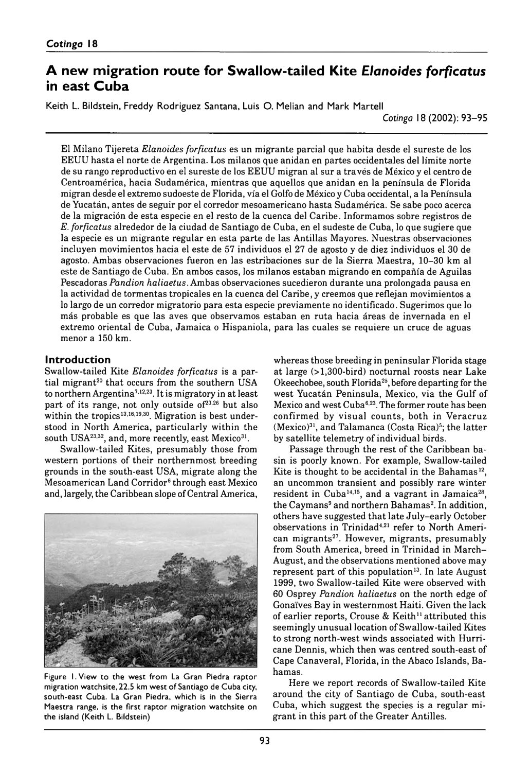# A new migration route for Swallow-tailed Kite *Elanoides forficatus* **in east Cuba**

Keith L. Bildstein, Freddy Rodriguez Santana, Luis O. Melian and Mark Martell

*Cotinga* 18 (2002): 93–95

El Milano Tijereta *Elanoides forficatus* es un migrante parcial que habita desde el sureste de los EEUU hasta el norte de Argentina. Los milanos que anidan en partes occidentales del límite norte de su rango reproductivo en el sureste de los EEUU migran al sur a través de México y el centro de Centroamérica, hacia Sudamérica, mientras que aquellos que anidan en la península de Florida migran desde el extremo sudoeste de Florida, vía el Golfo de México y Cuba occidental, a la Península de Yucatán, antes de seguir por el corredor mesoamericano hasta Sudamérica. Se sabe poco acerca de la migración de esta especie en el resto de la cuenca del Caribe. Informamos sobre registros de *E. forficatus* alrededor de la ciudad de Santiago de Cuba, en el sudeste de Cuba, lo que sugiere que la especie es un migrante regular en esta parte de las Antillas Mayores. Nuestras observaciones incluyen movimientos hacia el este de 57 individuos el 27 de agosto y de diez individuos el 30 de agosto. Ambas observaciones fueron en las estribaciones sur de la Sierra Maestra, 10–30 km al este de Santiago de Cuba. En ambos casos, los milanos estaban migrando en compañía de Aguilas Pescadoras *Pandion haliaetus.* Ambas observaciones sucedieron durante una prolongada pausa en la actividad de tormentas tropicales en la cuenca del Caribe, y creemos que reflejan movimientos a lo largo de un corredor migratorio para esta especie previamente no identificado. Sugerimos que lo más probable es que las aves que observamos estaban en ruta hacia áreas de invernada en el extremo oriental de Cuba, Jamaica o Hispaniola, para las cuales se requiere un cruce de aguas menor a 150 km.

## **Introduction**

Swallow-tailed Kite *Elanoides forficatus* is a partial migrant<sup>20</sup> that occurs from the southern USA to northern Argentina7,12,23. It is migratory in at least part of its range, not only outside of<sup>23,26</sup> but also within the tropics<sup>13,16,19,30</sup>. Migration is best understood in North America, particularly within the south USA<sup>23,32</sup>, and, more recently, east Mexico<sup>31</sup>.

Swallow-tailed Kites, presumably those from western portions of their northernmost breeding grounds in the south-east USA, migrate along the Mesoamerican Land Corridor<sup>6</sup> through east Mexico and, largely, the Caribbean slope of Central America,



Figure 1. View to the west from La Gran Piedra raptor migration watchsite, 22.5 km west of Santiago de Cuba city, south-east Cuba. La Gran Piedra, which is in the Sierra Maestra range, is the first raptor migration watchsite on the island (Keith L. Bildstein)

whereas those breeding in peninsular Florida stage at large (>1,300-bird) nocturnal roosts near Lake Okeechobee, south Florida<sup>25</sup>, before departing for the west Yucatán Peninsula, Mexico, via the Gulf of Mexico and west Cuba<sup>6,23</sup>. The former route has been confirmed by visual counts, both in Veracruz  $(Mexico)<sup>31</sup>$ , and Talamanca (Costa Rica)<sup>5</sup>; the latter by satellite telemetry of individual birds.

Passage through the rest of the Caribbean basin is poorly known. For example, Swallow-tailed Kite is thought to be accidental in the Bahamas<sup>12</sup>, an uncommon transient and possibly rare winter resident in Cuba<sup>14,15</sup>, and a vagrant in Jamaica<sup>28</sup>, the Caymans<sup>9</sup> and northern Bahamas<sup>2</sup>. In addition, others have suggested that late July-early October observations in Trinidad<sup>4,21</sup> refer to North American migrants<sup>27</sup>. However, migrants, presumably from South America, breed in Trinidad in March-August, and the observations mentioned above may represent part of this population<sup>13</sup>. In late August 1999, two Swallow-tailed Kite were observed with 60 Osprey *Pandion haliaetus* on the north edge of Gonaïves Bay in westernmost Haiti. Given the lack of earlier reports, Crouse & Keith<sup>11</sup> attributed this seemingly unusual location of Swallow-tailed Kites to strong north-west winds associated with Hurricane Dennis, which then was centred south-east of Cape Canaveral, Florida, in the Abaco Islands, Bahamas.

Here we report records of Swallow-tailed Kite around the city of Santiago de Cuba, south-east Cuba, which suggest the species is a regular migrant in this part of the Greater Antilles.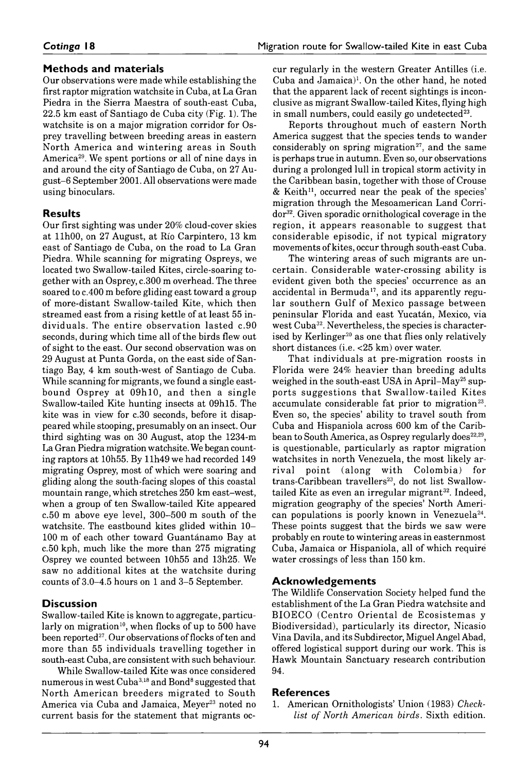## **Methods and materials**

Our observations were made while establishing the first raptor migration watchsite in Cuba, at La Gran Piedra in the Sierra Maestra of south-east Cuba, 22.5 km east of Santiago de Cuba city (Fig. 1). The watchsite is on a major migration corridor for Osprey travelling between breeding areas in eastern North America and wintering areas in South America29. We spent portions or all of nine days in and around the city of Santiago de Cuba, on 27 August–6 September 2001. All observations were made using binoculars.

## **Results**

Our first sighting was under 20% cloud-cover skies at 11h00, on 27 August, at Río Carpintero, 13 km east of Santiago de Cuba, on the road to La Gran Piedra. While scanning for migrating Ospreys, we located two Swallow-tailed Kites, circle-soaring together with an Osprey, *c.* 300 m overhead. The three soared to *c.* 400 m before gliding east toward a group of more-distant Swallow-tailed Kite, which then streamed east from a rising kettle of at least 55 individuals. The en tire observation lasted *c.* 90 seconds, during which time all of the birds flew out of sight to the east. Our second observation was on 29 August at Punta Gorda, on the east side of Santiago Bay, 4 km south-west of Santiago de Cuba. While scanning for migrants, we found a single eastbound Osprey at 09h10, and then a single Swallow-tailed Kite hunting insects at 09h15. The kite was in view for *c.* 30 seconds, before it disappeared while stooping, presumably on an insect. Our third sighting was on 30 August, atop the 1234-m La Gran Piedra migration watchsite. We began counting raptors at 10h55. By 11h49 we had recorded 149 migrating Osprey, most of which were soaring and gliding along the south-facing slopes of this coastal mountain range, which stretches 250 km east-west, when a group of ten Swallow-tailed Kite appeared *c.* 50 m above eye level, 300–500 m south of the watchsite. The eastbound kites glided within 10– 100 m of each other toward Guantánamo Bay at *c.* 50 kph, much like the more than 275 migrating Osprey we counted between 10h55 and 13h25. We saw no additional kites at the watchsite during counts of 3.0–4.5 hours on 1 and 3–5 September.

## **Discussion**

Swallow-tailed Kite is known to aggregate, particularly on migration<sup>10</sup>, when flocks of up to 500 have been reported<sup>27</sup>. Our observations of flocks of ten and more than 55 individuals travelling together in south-east Cuba, are consistent with such behaviour.

While Swallow-tailed Kite was once considered numerous in west Cuba<sup>3,18</sup> and Bond<sup>8</sup> suggested that North American breeders migrated to South America via Cuba and Jamaica, Meyer<sup>23</sup> noted no current basis for the statement that migrants occur regularly in the western Greater Antilles (i.e. Cuba and Jamaica)<sup>1</sup>. On the other hand, he noted that the apparent lack of recent sightings is inconclusive as migrant Swallow-tailed Kites, flying high in small numbers, could easily go undetected $23$ .

Reports throughout much of eastern North America suggest that the species tends to wander considerably on spring migration $27$ , and the same is perhaps true in autumn. Even so, our observations during a prolonged lull in tropical storm activity in the Caribbean basin, together with those of Crouse  $&$  Keith<sup>11</sup>, occurred near the peak of the species' migration through the Mesoamerican Land Corridor32. Given sporadic ornithological coverage in the region, it appears reasonable to suggest that considerable episodic, if not typical migratory movements of kites, occur through south-east Cuba.

The wintering areas of such migrants are uncertain. Considerable water-crossing ability is evident given both the species' occurrence as an accidental in Bermuda<sup>17</sup>, and its apparently regular southern Gulf of Mexico passage between peninsular Florida and east Yucatán, Mexico, via west Cuba<sup>32</sup>. Nevertheless, the species is characterised by Kerlinger<sup>20</sup> as one that flies only relatively short distances (i.e. <25 km) over water.

That individuals at pre-migration roosts in Florida were 24% heavier than breeding adults weighed in the south-east USA in April–May<sup>25</sup> supports suggestions that Swallow-tailed Kites accumulate considerable fat prior to migration<sup>23</sup>. Even so, the species' ability to travel south from Cuba and Hispaniola across 600 km of the Caribbean to South America, as Osprey regularly does<sup>22,29</sup>, is questionable, particularly as raptor migration watchsites in north Venezuela, the most likely arrival point (along with Colombia) for trans-Caribbean travellers<sup>23</sup>, do not list Swallowtailed Kite as even an irregular migrant<sup>32</sup>. Indeed, migration geography of the species' North American populations is poorly known in Venezuela<sup>24</sup>. These points suggest that the birds we saw were probably en route to wintering areas in easternmost Cuba, Jamaica or Hispaniola, all of which require water crossings of less than 150 km.

## **A c k n o w l e d g e m e n t s**

The Wildlife Conservation Society helped fund the establishment of the La Gran Piedra watchsite and BIOECO (Centro Oriental de Ecosistemas y Biodiversidad), particularly its director, Nicasio Vina Davila, and its Subdirector, Miguel Angel Abad, offered logistical support during our work. This is Hawk Mountain Sanctuary research contribution 94.

## **References**

1. American Ornithologists' Union (1983) *Checklist of North American birds.* Sixth edition.